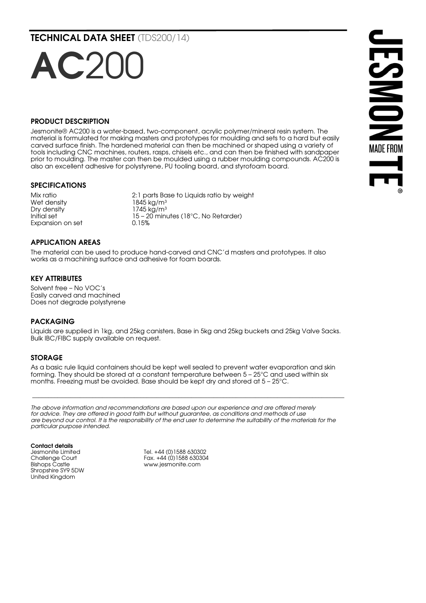TECHNICAL DATA SHEET (TDS200/14)

# PRODUCT DESCRIPTION

AC201

Jesmonite® AC200 is a water-based, two-component, acrylic polymer/mineral resin system. The material is formulated for making masters and prototypes for moulding and sets to a hard but easily carved surface finish. The hardened material can then be machined or shaped using a variety of tools including CNC machines, routers, rasps, chisels etc., and can then be finished with sandpaper prior to moulding. The master can then be moulded using a rubber moulding compounds. AC200 is also an excellent adhesive for polystyrene, PU tooling board, and styrofoam board.

#### SPECIFICATIONS

Wet density  $\frac{1845 \text{ kg/m}^3}{1745 \text{ kg/m}^3}$ Expansion on set

Mix ratio 2:1 parts Base to Liquids ratio by weight  $1745$  kg/m<sup>3</sup> Initial set  $\frac{15 - 20}{15 - 20}$  minutes (18°C, No Retarder)<br>Expansion on set  $\frac{0.15\%}{0.15\%}$ 

# **JESMONS MADE FROM**

#### APPLICATION AREAS

The material can be used to produce hand-carved and CNC'd masters and prototypes. It also works as a machining surface and adhesive for foam boards.

#### KEY ATTRIBUTES

Solvent free – No VOC's Easily carved and machined Does not degrade polystyrene

#### PACKAGING

Liquids are supplied in 1kg, and 25kg canisters, Base in 5kg and 25kg buckets and 25kg Valve Sacks. Bulk IBC/FIBC supply available on request.

#### STORAGE

As a basic rule liquid containers should be kept well sealed to prevent water evaporation and skin forming. They should be stored at a constant temperature between 5 - 25°C and used within six months. Freezing must be avoided. Base should be kept dry and stored at 5 – 25°C.

*The above information and recommendations are based upon our experience and are offered merely*  for advice. They are offered in good faith but without guarantee, as conditions and methods of use *are beyond our control. It is the responsibility of the end user to determine the suitability of the materials for the particular purpose intended.*

 $\mathcal{L}_\mathcal{L} = \{ \mathcal{L}_\mathcal{L} = \{ \mathcal{L}_\mathcal{L} = \{ \mathcal{L}_\mathcal{L} = \{ \mathcal{L}_\mathcal{L} = \{ \mathcal{L}_\mathcal{L} = \{ \mathcal{L}_\mathcal{L} = \{ \mathcal{L}_\mathcal{L} = \{ \mathcal{L}_\mathcal{L} = \{ \mathcal{L}_\mathcal{L} = \{ \mathcal{L}_\mathcal{L} = \{ \mathcal{L}_\mathcal{L} = \{ \mathcal{L}_\mathcal{L} = \{ \mathcal{L}_\mathcal{L} = \{ \mathcal{L}_\mathcal{$ 

Contact details Jesmonite Limited Challenge Court Bishops Castle Shropshire SY9 5DW United Kingdom

Tel. +44 (0)1588 630302 Fax. +44 (0)1588 630304 www.jesmonite.com